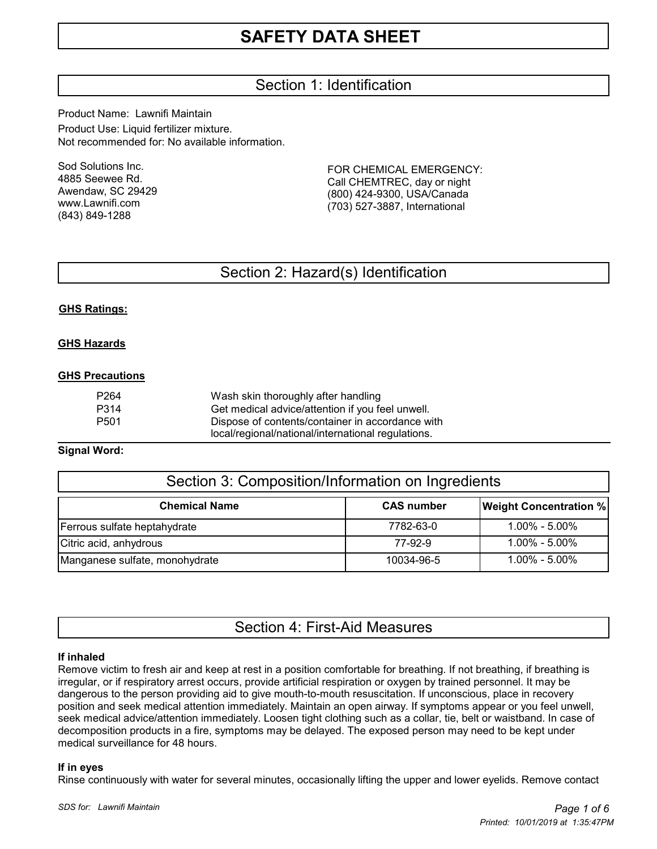# Section 1: Identification

Product Name: Lawnifi Maintain Product Use: Liquid fertilizer mixture. Not recommended for: No available information.

Sod Solutions Inc. 4885 Seewee Rd. Awendaw, SC 29429 www.Lawnifi.com (843) 849-1288

FOR CHEMICAL EMERGENCY: Call CHEMTREC, day or night (800) 424-9300, USA/Canada (703) 527-3887, International

# Section 2: Hazard(s) Identification

## **GHS Ratings:**

#### **GHS Hazards**

#### **GHS Precautions**

| P <sub>264</sub> | Wash skin thoroughly after handling                |
|------------------|----------------------------------------------------|
| P314             | Get medical advice/attention if you feel unwell.   |
| P <sub>501</sub> | Dispose of contents/container in accordance with   |
|                  | local/regional/national/international regulations. |

#### **Signal Word:**

| Section 3: Composition/Information on Ingredients |                   |                               |  |  |
|---------------------------------------------------|-------------------|-------------------------------|--|--|
| <b>Chemical Name</b>                              | <b>CAS number</b> | <b>Weight Concentration %</b> |  |  |
| Ferrous sulfate heptahydrate                      | 7782-63-0         | 1.00% - 5.00%                 |  |  |
| Citric acid, anhydrous                            | 77-92-9           | 1.00% - 5.00%                 |  |  |
| Manganese sulfate, monohydrate                    | 10034-96-5        | $1.00\% - 5.00\%$             |  |  |

## Section 4: First-Aid Measures

#### **If inhaled**

Remove victim to fresh air and keep at rest in a position comfortable for breathing. If not breathing, if breathing is irregular, or if respiratory arrest occurs, provide artificial respiration or oxygen by trained personnel. It may be dangerous to the person providing aid to give mouth-to-mouth resuscitation. If unconscious, place in recovery position and seek medical attention immediately. Maintain an open airway. If symptoms appear or you feel unwell, seek medical advice/attention immediately. Loosen tight clothing such as a collar, tie, belt or waistband. In case of decomposition products in a fire, symptoms may be delayed. The exposed person may need to be kept under medical surveillance for 48 hours.

#### **If in eyes**

Rinse continuously with water for several minutes, occasionally lifting the upper and lower eyelids. Remove contact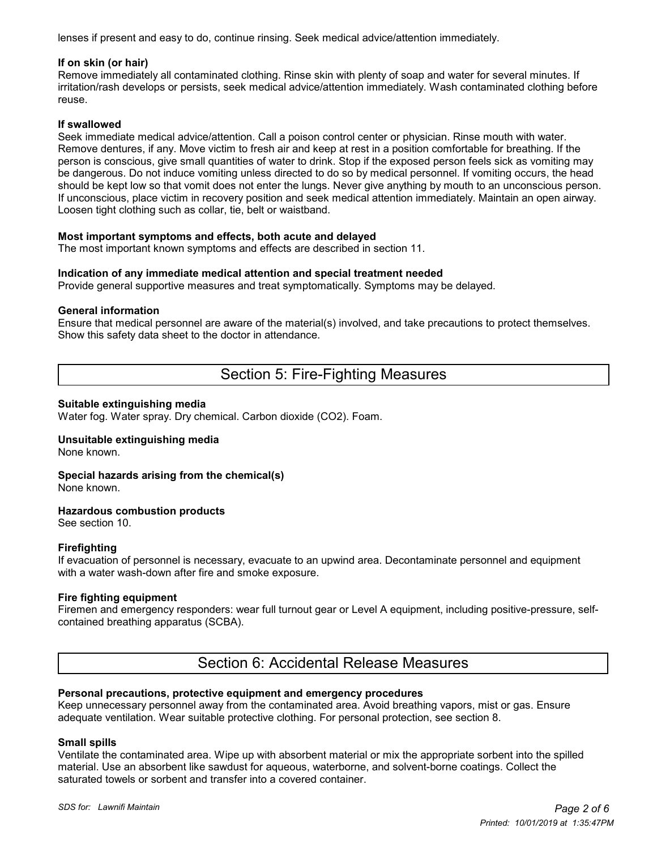lenses if present and easy to do, continue rinsing. Seek medical advice/attention immediately.

#### **If on skin (or hair)**

Remove immediately all contaminated clothing. Rinse skin with plenty of soap and water for several minutes. If irritation/rash develops or persists, seek medical advice/attention immediately. Wash contaminated clothing before reuse.

## **If swallowed**

Seek immediate medical advice/attention. Call a poison control center or physician. Rinse mouth with water. Remove dentures, if any. Move victim to fresh air and keep at rest in a position comfortable for breathing. If the person is conscious, give small quantities of water to drink. Stop if the exposed person feels sick as vomiting may be dangerous. Do not induce vomiting unless directed to do so by medical personnel. If vomiting occurs, the head should be kept low so that vomit does not enter the lungs. Never give anything by mouth to an unconscious person. If unconscious, place victim in recovery position and seek medical attention immediately. Maintain an open airway. Loosen tight clothing such as collar, tie, belt or waistband.

#### **Most important symptoms and effects, both acute and delayed**

The most important known symptoms and effects are described in section 11.

#### **Indication of any immediate medical attention and special treatment needed**

Provide general supportive measures and treat symptomatically. Symptoms may be delayed.

#### **General information**

Ensure that medical personnel are aware of the material(s) involved, and take precautions to protect themselves. Show this safety data sheet to the doctor in attendance.

# Section 5: Fire-Fighting Measures

#### **Suitable extinguishing media**

Water fog. Water spray. Dry chemical. Carbon dioxide (CO2). Foam.

#### **Unsuitable extinguishing media**

None known.

## **Special hazards arising from the chemical(s)**

None known.

#### **Hazardous combustion products**

See section 10.

#### **Firefighting**

If evacuation of personnel is necessary, evacuate to an upwind area. Decontaminate personnel and equipment with a water wash-down after fire and smoke exposure.

## **Fire fighting equipment**

Firemen and emergency responders: wear full turnout gear or Level A equipment, including positive-pressure, selfcontained breathing apparatus (SCBA).

## Section 6: Accidental Release Measures

#### **Personal precautions, protective equipment and emergency procedures**

Keep unnecessary personnel away from the contaminated area. Avoid breathing vapors, mist or gas. Ensure adequate ventilation. Wear suitable protective clothing. For personal protection, see section 8.

#### **Small spills**

Ventilate the contaminated area. Wipe up with absorbent material or mix the appropriate sorbent into the spilled material. Use an absorbent like sawdust for aqueous, waterborne, and solvent-borne coatings. Collect the saturated towels or sorbent and transfer into a covered container.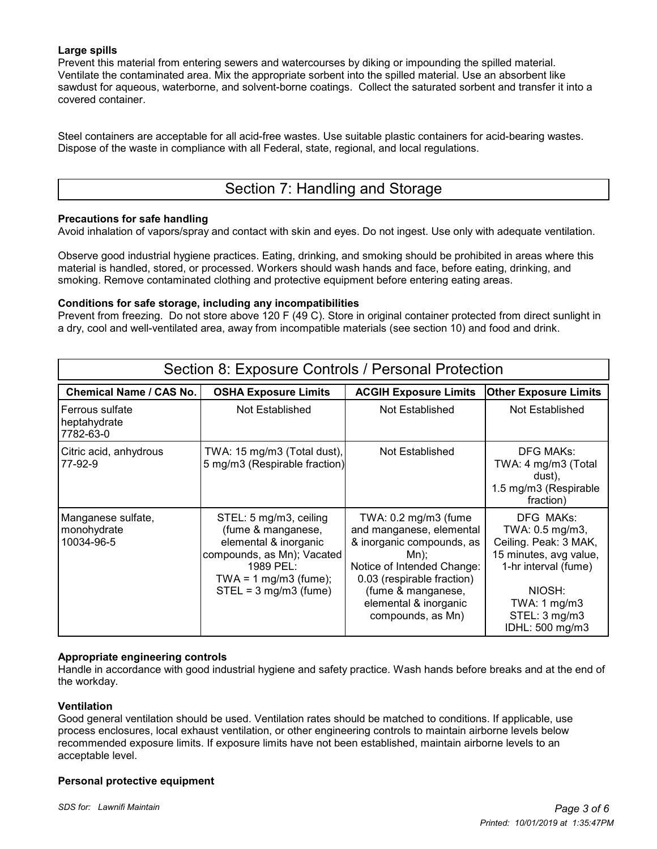## **Large spills**

Prevent this material from entering sewers and watercourses by diking or impounding the spilled material. Ventilate the contaminated area. Mix the appropriate sorbent into the spilled material. Use an absorbent like sawdust for aqueous, waterborne, and solvent-borne coatings. Collect the saturated sorbent and transfer it into a covered container.

Steel containers are acceptable for all acid-free wastes. Use suitable plastic containers for acid-bearing wastes. Dispose of the waste in compliance with all Federal, state, regional, and local regulations.

# Section 7: Handling and Storage

## **Precautions for safe handling**

Avoid inhalation of vapors/spray and contact with skin and eyes. Do not ingest. Use only with adequate ventilation.

Observe good industrial hygiene practices. Eating, drinking, and smoking should be prohibited in areas where this material is handled, stored, or processed. Workers should wash hands and face, before eating, drinking, and smoking. Remove contaminated clothing and protective equipment before entering eating areas.

## **Conditions for safe storage, including any incompatibilities**

Prevent from freezing. Do not store above 120 F (49 C). Store in original container protected from direct sunlight in a dry, cool and well-ventilated area, away from incompatible materials (see section 10) and food and drink.

| Section 8: Exposure Controls / Personal Protection |                                                                                                                                                                                 |                                                                                                                                                                                                                                  |                                                                                                                                                                                  |  |  |  |
|----------------------------------------------------|---------------------------------------------------------------------------------------------------------------------------------------------------------------------------------|----------------------------------------------------------------------------------------------------------------------------------------------------------------------------------------------------------------------------------|----------------------------------------------------------------------------------------------------------------------------------------------------------------------------------|--|--|--|
| <b>Chemical Name / CAS No.</b>                     | <b>OSHA Exposure Limits</b>                                                                                                                                                     | <b>ACGIH Exposure Limits</b>                                                                                                                                                                                                     | <b>Other Exposure Limits</b>                                                                                                                                                     |  |  |  |
| l Ferrous sulfate<br>heptahydrate<br>7782-63-0     | Not Established                                                                                                                                                                 | Not Established                                                                                                                                                                                                                  | Not Established                                                                                                                                                                  |  |  |  |
| Citric acid, anhydrous<br>77-92-9                  | TWA: 15 mg/m3 (Total dust),<br>5 mg/m3 (Respirable fraction)                                                                                                                    | Not Established                                                                                                                                                                                                                  | <b>DFG MAKs:</b><br>TWA: 4 mg/m3 (Total<br>dust),<br>1.5 mg/m3 (Respirable<br>fraction)                                                                                          |  |  |  |
| Manganese sulfate,<br>monohydrate<br>10034-96-5    | STEL: 5 mg/m3, ceiling<br>(fume & manganese,<br>elemental & inorganic<br>compounds, as Mn); Vacated<br>1989 PEL:<br>TWA = $1 \text{ mg/m}$ 3 (fume);<br>$STEL = 3 mg/m3$ (fume) | TWA: $0.2 \text{ mg/m}$ 3 (fume<br>and manganese, elemental<br>& inorganic compounds, as<br>Mn);<br>Notice of Intended Change:<br>0.03 (respirable fraction)<br>(fume & manganese,<br>elemental & inorganic<br>compounds, as Mn) | DFG MAKs:<br>TWA: 0.5 mg/m3,<br>Ceiling. Peak: 3 MAK,<br>15 minutes, avg value,<br>1-hr interval (fume)<br>NIOSH:<br>TWA: $1 \text{ mg/m}$ 3<br>STEL: 3 mg/m3<br>IDHL: 500 mg/m3 |  |  |  |

#### **Appropriate engineering controls**

Handle in accordance with good industrial hygiene and safety practice. Wash hands before breaks and at the end of the workday.

#### **Ventilation**

Good general ventilation should be used. Ventilation rates should be matched to conditions. If applicable, use process enclosures, local exhaust ventilation, or other engineering controls to maintain airborne levels below recommended exposure limits. If exposure limits have not been established, maintain airborne levels to an acceptable level.

#### **Personal protective equipment**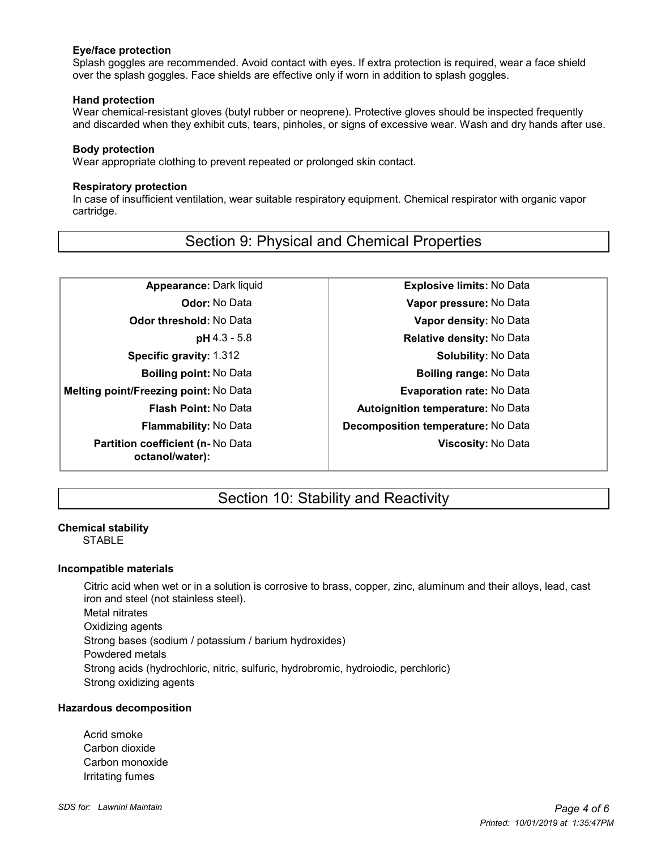#### **Eye/face protection**

 Splash goggles are recommended. Avoid contact with eyes. If extra protection is required, wear a face shield over the splash goggles. Face shields are effective only if worn in addition to splash goggles.

#### **Hand protection**

 Wear chemical-resistant gloves (butyl rubber or neoprene). Protective gloves should be inspected frequently and discarded when they exhibit cuts, tears, pinholes, or signs of excessive wear. Wash and dry hands after use.

#### **Body protection**

Wear appropriate clothing to prevent repeated or prolonged skin contact.

## **Respiratory protection**

 In case of insufficient ventilation, wear suitable respiratory equipment. Chemical respirator with organic vapor cartridge.

# Section 9: Physical and Chemical Properties

**Melting point/Freezing point:** No Data **Evaporation rate:** No Data **Partition coefficient (n-** No Data **octanol/water):**

**Appearance:** Dark liquid **Explosive limits:** No Data **Odor:** No Data **Vapor pressure:** No Data **Odor threshold:** No Data **Vapor density:** No Data **pH** 4.3 - 5.8 **Relative density:** No Data **Specific gravity:** 1.312 **Solubility:** No Data **Boiling point:** No Data **Boiling range:** No Data **Flash Point:** No Data **Autoignition <b>temperature:** No Data **Flammability:** No Data **Decomposition temperature:** No Data **Viscosity:** No Data

# Section 10: Stability and Reactivity

## **Chemical stability**

**STABLE** 

## **Incompatible materials**

Citric acid when wet or in a solution is corrosive to brass, copper, zinc, aluminum and their alloys, lead, cast iron and steel (not stainless steel). Metal nitrates Oxidizing agents Strong bases (sodium / potassium / barium hydroxides) Powdered metals Strong acids (hydrochloric, nitric, sulfuric, hydrobromic, hydroiodic, perchloric) Strong oxidizing agents

## **Hazardous decomposition**

Acrid smoke Carbon dioxide Carbon monoxide Irritating fumes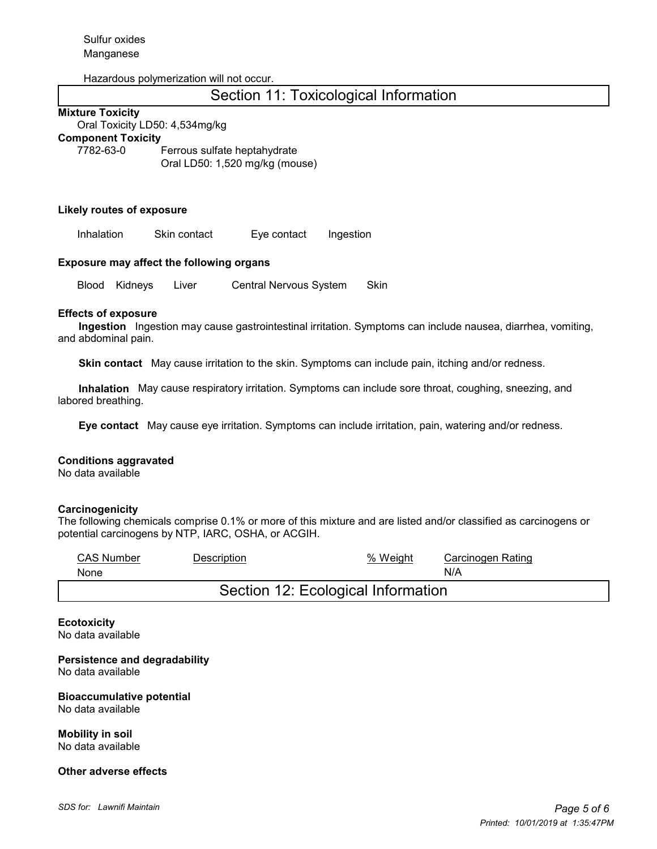#### Hazardous polymerization will not occur.

# Section 11: Toxicological Information

#### **Mixture Toxicity**

Oral Toxicity LD50: 4,534mg/kg

#### **Component Toxicity**

7782-63-0 Ferrous sulfate heptahydrate Oral LD50: 1,520 mg/kg (mouse)

#### **Likely routes of exposure**

Inhalation Skin contact Eye contact Ingestion

#### **Exposure may affect the following organs**

Blood Kidneys Liver Central Nervous System Skin

#### **Effects of exposure**

 **Ingestion** Ingestion may cause gastrointestinal irritation. Symptoms can include nausea, diarrhea, vomiting, and abdominal pain.

 **Skin contact** May cause irritation to the skin. Symptoms can include pain, itching and/or redness.

 **Inhalation** May cause respiratory irritation. Symptoms can include sore throat, coughing, sneezing, and labored breathing.

 **Eye contact** May cause eye irritation. Symptoms can include irritation, pain, watering and/or redness.

#### **Conditions aggravated**

No data available

#### **Carcinogenicity**

The following chemicals comprise 0.1% or more of this mixture and are listed and/or classified as carcinogens or potential carcinogens by NTP, IARC, OSHA, or ACGIH.

| <b>CAS Number</b>                  | <b>Description</b> | % Weight | Carcinogen Rating |  |  |  |
|------------------------------------|--------------------|----------|-------------------|--|--|--|
| None                               |                    |          | N/A               |  |  |  |
| Section 12: Ecological Information |                    |          |                   |  |  |  |

**Ecotoxicity** No data available

**Persistence and degradability** No data available

**Bioaccumulative potential** No data available

**Mobility in soil** No data available

#### **Other adverse effects**